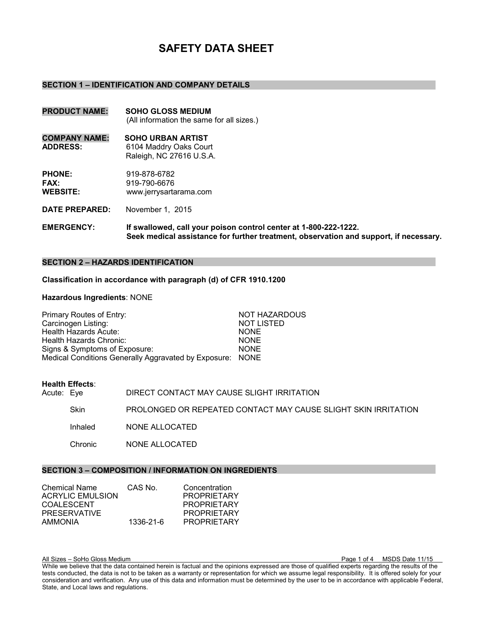# **SAFETY DATA SHEET**

#### **SECTION 1 – IDENTIFICATION AND COMPANY DETAILS**

- **PRODUCT NAME: SOHO GLOSS MEDIUM** (All information the same for all sizes.)
- **COMPANY NAME: SOHO URBAN ARTIST ADDRESS:** 6104 Maddry Oaks Court Raleigh, NC 27616 U.S.A.

**PHONE:** 919-878-6782 **FAX:** 919-790-6676<br> **WEBSITE:** www.ierrvsarta **WEBSITE:** www.jerrysartarama.com

**DATE PREPARED:** November 1, 2015

**EMERGENCY: If swallowed, call your poison control center at 1-800-222-1222. Seek medical assistance for further treatment, observation and support, if necessary.** 

# **SECTION 2 – HAZARDS IDENTIFICATION**

**Classification in accordance with paragraph (d) of CFR 1910.1200**

#### **Hazardous Ingredients**: NONE

| Primary Routes of Entry:                                  | <b>NOT HAZARDOUS</b> |
|-----------------------------------------------------------|----------------------|
| Carcinogen Listing:                                       | <b>NOT LISTED</b>    |
| Health Hazards Acute:                                     | <b>NONE</b>          |
| Health Hazards Chronic:                                   | <b>NONE</b>          |
| Signs & Symptoms of Exposure:                             | <b>NONE</b>          |
| Medical Conditions Generally Aggravated by Exposure: NONE |                      |

# **Health Effects**:

| Acute: Eye |          | DIRECT CONTACT MAY CAUSE SLIGHT IRRITATION                     |
|------------|----------|----------------------------------------------------------------|
|            | Skin     | PROLONGED OR REPEATED CONTACT MAY CAUSE SLIGHT SKIN IRRITATION |
|            | Inhaled  | NONE ALLOCATED                                                 |
|            | Chronic. | NONE ALLOCATED                                                 |
|            |          |                                                                |

# **SECTION 3 – COMPOSITION / INFORMATION ON INGREDIENTS**

| <b>Chemical Name</b>    | CAS No.   | Concentration      |
|-------------------------|-----------|--------------------|
| <b>ACRYLIC EMULSION</b> |           | <b>PROPRIETARY</b> |
| COALESCENT              |           | <b>PROPRIETARY</b> |
| <b>PRESERVATIVE</b>     |           | <b>PROPRIETARY</b> |
| <b>AMMONIA</b>          | 1336-21-6 | <b>PROPRIETARY</b> |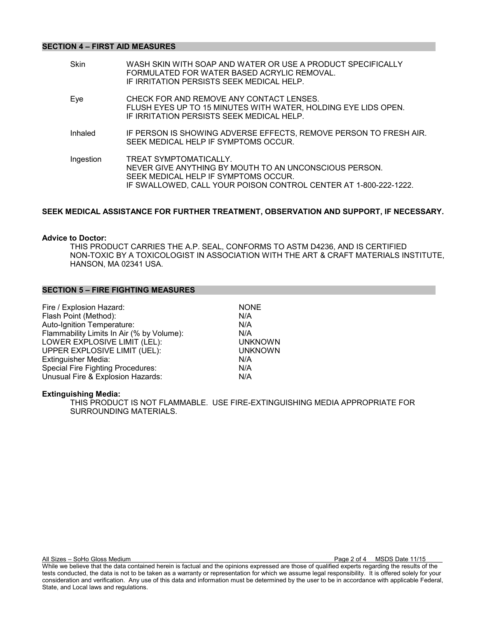# **SECTION 4 – FIRST AID MEASURES**

| CHECK FOR AND REMOVE ANY CONTACT LENSES.<br>Eye<br>FLUSH EYES UP TO 15 MINUTES WITH WATER, HOLDING EYE LIDS OPEN.<br>IF IRRITATION PERSISTS SEEK MEDICAL HELP.<br>IF PERSON IS SHOWING ADVERSE EFFECTS, REMOVE PERSON TO FRESH AIR.<br>Inhaled<br>SEEK MEDICAL HELP IF SYMPTOMS OCCUR.<br>Ingestion<br>TREAT SYMPTOMATICALLY. | WASH SKIN WITH SOAP AND WATER OR USE A PRODUCT SPECIFICALLY |
|-------------------------------------------------------------------------------------------------------------------------------------------------------------------------------------------------------------------------------------------------------------------------------------------------------------------------------|-------------------------------------------------------------|
|                                                                                                                                                                                                                                                                                                                               |                                                             |
|                                                                                                                                                                                                                                                                                                                               |                                                             |
| NEVER GIVE ANYTHING BY MOUTH TO AN UNCONSCIOUS PERSON.<br>SEEK MEDICAL HELP IF SYMPTOMS OCCUR.<br>IF SWALLOWED, CALL YOUR POISON CONTROL CENTER AT 1-800-222-1222.                                                                                                                                                            |                                                             |

# **SEEK MEDICAL ASSISTANCE FOR FURTHER TREATMENT, OBSERVATION AND SUPPORT, IF NECESSARY.**

## **Advice to Doctor:**

THIS PRODUCT CARRIES THE A.P. SEAL, CONFORMS TO ASTM D4236, AND IS CERTIFIED NON-TOXIC BY A TOXICOLOGIST IN ASSOCIATION WITH THE ART & CRAFT MATERIALS INSTITUTE, HANSON, MA 02341 USA.

#### **SECTION 5 – FIRE FIGHTING MEASURES**

| Fire / Explosion Hazard:                  | <b>NONE</b>    |
|-------------------------------------------|----------------|
| Flash Point (Method):                     | N/A            |
| Auto-Ignition Temperature:                | N/A            |
| Flammability Limits In Air (% by Volume): | N/A            |
| LOWER EXPLOSIVE LIMIT (LEL):              | <b>UNKNOWN</b> |
| UPPER EXPLOSIVE LIMIT (UEL):              | <b>UNKNOWN</b> |
| <b>Extinguisher Media:</b>                | N/A            |
| <b>Special Fire Fighting Procedures:</b>  | N/A            |
| Unusual Fire & Explosion Hazards:         | N/A            |

#### **Extinguishing Media:**

THIS PRODUCT IS NOT FLAMMABLE. USE FIRE-EXTINGUISHING MEDIA APPROPRIATE FOR SURROUNDING MATERIALS.

All Sizes – SoHo Gloss Medium Page 2 of 4 MSDS Date 11/15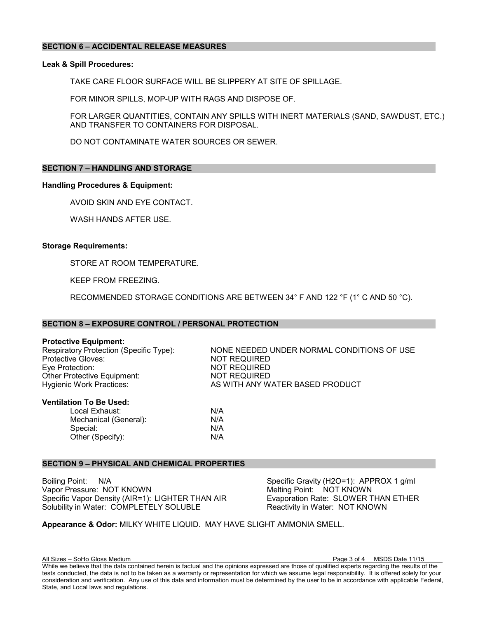# **SECTION 6 – ACCIDENTAL RELEASE MEASURES**

# **Leak & Spill Procedures:**

TAKE CARE FLOOR SURFACE WILL BE SLIPPERY AT SITE OF SPILLAGE.

FOR MINOR SPILLS, MOP-UP WITH RAGS AND DISPOSE OF.

FOR LARGER QUANTITIES, CONTAIN ANY SPILLS WITH INERT MATERIALS (SAND, SAWDUST, ETC.) AND TRANSFER TO CONTAINERS FOR DISPOSAL.

DO NOT CONTAMINATE WATER SOURCES OR SEWER.

# **SECTION 7 – HANDLING AND STORAGE**

## **Handling Procedures & Equipment:**

AVOID SKIN AND EYE CONTACT.

WASH HANDS AFTER USE.

## **Storage Requirements:**

STORE AT ROOM TEMPERATURE.

KEEP FROM FREEZING.

RECOMMENDED STORAGE CONDITIONS ARE BETWEEN 34° F AND 122 °F (1° C AND 50 °C).

## **SECTION 8 – EXPOSURE CONTROL / PERSONAL PROTECTION**

**Protective Equipment:**<br>Respiratory Protection (Specific Type): Protective Gloves:  $\overline{N}$  NOT REQUIRED<br>Eve Protection: NOT REQUIRED Other Protective Equipment:<br>Hygienic Work Practices:

NONE NEEDED UNDER NORMAL CONDITIONS OF USE NOT REQUIRED<br>NOT REQUIRED AS WITH ANY WATER BASED PRODUCT

#### **Ventilation To Be Used:**

Local Exhaust:  $N/A$ <br>Mechanical (General):  $N/A$ Mechanical (General):  $N/A$ <br>Special:  $N/A$ Special: Other (Specify): N/A

# **SECTION 9 – PHYSICAL AND CHEMICAL PROPERTIES**

Boiling Point: N/A Specific Gravity (H2O=1): APPROX 1 g/ml Vapor Pressure: NOT KNOWN<br>
Specific Vapor Density (AIR=1): LIGHTER THAN AIR 
Specific Vapor Density (AIR=1): LIGHTER THAN AIR Evaporation Rate: SLOWER THAN ETHER Specific Vapor Density (AIR=1): LIGHTER THAN AIR Solubility in Water: COMPLETELY SOLUBLE Reactivity in Water: NOT KNOWN

**Appearance & Odor:** MILKY WHITE LIQUID. MAY HAVE SLIGHT AMMONIA SMELL.

All Sizes – SoHo Gloss Medium Page 3 of 4 MSDS Date 11/15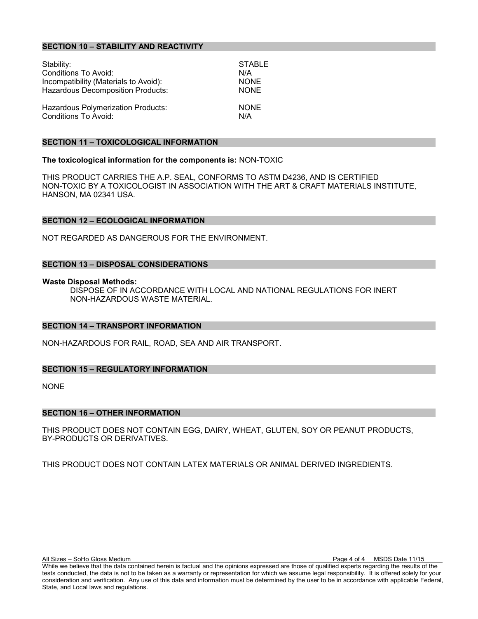# **SECTION 10 – STABILITY AND REACTIVITY**

| Stability:                               | <b>STABLE</b> |
|------------------------------------------|---------------|
| Conditions To Avoid:                     | N/A           |
| Incompatibility (Materials to Avoid):    | <b>NONE</b>   |
| <b>Hazardous Decomposition Products:</b> | <b>NONE</b>   |
| Hazardous Polymerization Products:       | <b>NONE</b>   |
| <b>Conditions To Avoid:</b>              | N/A           |

#### **SECTION 11 – TOXICOLOGICAL INFORMATION**

#### **The toxicological information for the components is:** NON-TOXIC

THIS PRODUCT CARRIES THE A.P. SEAL, CONFORMS TO ASTM D4236, AND IS CERTIFIED NON-TOXIC BY A TOXICOLOGIST IN ASSOCIATION WITH THE ART & CRAFT MATERIALS INSTITUTE, HANSON, MA 02341 USA.

## **SECTION 12 – ECOLOGICAL INFORMATION**

NOT REGARDED AS DANGEROUS FOR THE ENVIRONMENT.

## **SECTION 13 – DISPOSAL CONSIDERATIONS**

#### **Waste Disposal Methods:**

DISPOSE OF IN ACCORDANCE WITH LOCAL AND NATIONAL REGULATIONS FOR INERT NON-HAZARDOUS WASTE MATERIAL.

#### **SECTION 14 – TRANSPORT INFORMATION**

NON-HAZARDOUS FOR RAIL, ROAD, SEA AND AIR TRANSPORT.

# **SECTION 15 – REGULATORY INFORMATION**

NONE

#### **SECTION 16 – OTHER INFORMATION**

THIS PRODUCT DOES NOT CONTAIN EGG, DAIRY, WHEAT, GLUTEN, SOY OR PEANUT PRODUCTS, BY-PRODUCTS OR DERIVATIVES.

THIS PRODUCT DOES NOT CONTAIN LATEX MATERIALS OR ANIMAL DERIVED INGREDIENTS.

All Sizes – SoHo Gloss Medium Page 4 of 4 MSDS Date 11/15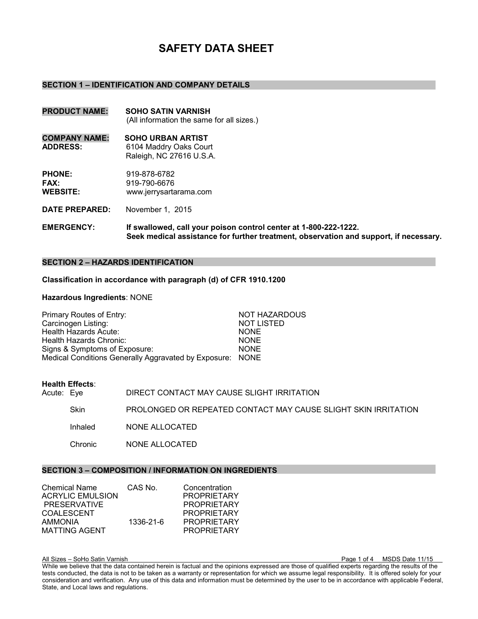# **SAFETY DATA SHEET**

#### **SECTION 1 – IDENTIFICATION AND COMPANY DETAILS**

- **PRODUCT NAME: SOHO SATIN VARNISH**  (All information the same for all sizes.)
- **COMPANY NAME: SOHO URBAN ARTIST ADDRESS:** 6104 Maddry Oaks Court Raleigh, NC 27616 U.S.A.

**PHONE:** 919-878-6782 **FAX:** 919-790-6676<br> **WEBSITE:** www.ierrvsarta **WEBSITE:** www.jerrysartarama.com

**DATE PREPARED:** November 1, 2015

**EMERGENCY: If swallowed, call your poison control center at 1-800-222-1222. Seek medical assistance for further treatment, observation and support, if necessary.** 

# **SECTION 2 – HAZARDS IDENTIFICATION**

**Classification in accordance with paragraph (d) of CFR 1910.1200**

#### **Hazardous Ingredients**: NONE

| Primary Routes of Entry:                                  | <b>NOT HAZARDOUS</b> |
|-----------------------------------------------------------|----------------------|
| Carcinogen Listing:                                       | <b>NOT LISTED</b>    |
| Health Hazards Acute:                                     | <b>NONE</b>          |
| Health Hazards Chronic:                                   | <b>NONE</b>          |
| Signs & Symptoms of Exposure:                             | <b>NONE</b>          |
| Medical Conditions Generally Aggravated by Exposure: NONE |                      |

# **Health Effects**:

| Acute: Eye |          | DIRECT CONTACT MAY CAUSE SLIGHT IRRITATION                     |
|------------|----------|----------------------------------------------------------------|
|            | Skin     | PROLONGED OR REPEATED CONTACT MAY CAUSE SLIGHT SKIN IRRITATION |
|            | Inhaled  | NONE ALLOCATED                                                 |
|            | Chronic. | NONE ALLOCATED                                                 |
|            |          |                                                                |

# **SECTION 3 – COMPOSITION / INFORMATION ON INGREDIENTS**

| <b>Chemical Name</b> | CAS No.   | Concentration      |
|----------------------|-----------|--------------------|
| ACRYLIC EMULSION     |           | <b>PROPRIETARY</b> |
| PRESERVATIVE         |           | <b>PROPRIETARY</b> |
| <b>COALESCENT</b>    |           | <b>PROPRIETARY</b> |
| <b>AMMONIA</b>       | 1336-21-6 | <b>PROPRIETARY</b> |
| <b>MATTING AGENT</b> |           | <b>PROPRIETARY</b> |

All Sizes – SoHo Satin Varnish Page 1 of 4 MSDS Date 11/15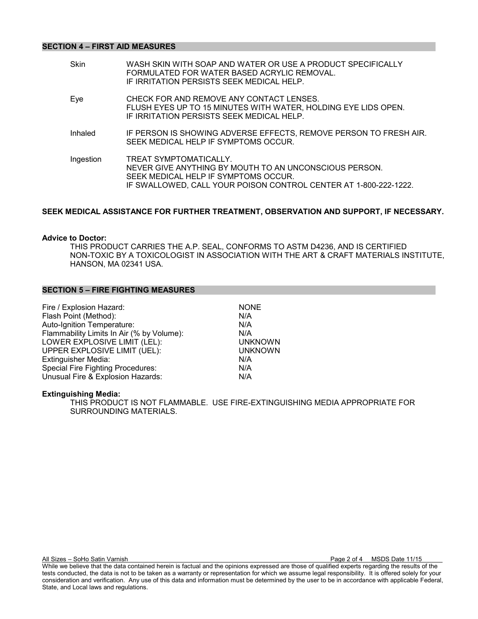# **SECTION 4 – FIRST AID MEASURES**

| <b>Skin</b> | WASH SKIN WITH SOAP AND WATER OR USE A PRODUCT SPECIFICALLY<br>FORMULATED FOR WATER BASED ACRYLIC REMOVAL.<br>IF IRRITATION PERSISTS SEEK MEDICAL HELP.                                      |
|-------------|----------------------------------------------------------------------------------------------------------------------------------------------------------------------------------------------|
| Eye         | CHECK FOR AND REMOVE ANY CONTACT LENSES.<br>FLUSH EYES UP TO 15 MINUTES WITH WATER, HOLDING EYE LIDS OPEN.<br>IF IRRITATION PERSISTS SEEK MEDICAL HELP.                                      |
| Inhaled     | IF PERSON IS SHOWING ADVERSE EFFECTS, REMOVE PERSON TO FRESH AIR.<br>SEEK MEDICAL HELP IF SYMPTOMS OCCUR.                                                                                    |
| Ingestion   | TREAT SYMPTOMATICALLY.<br>NEVER GIVE ANYTHING BY MOUTH TO AN UNCONSCIOUS PERSON.<br>SEEK MEDICAL HELP IF SYMPTOMS OCCUR.<br>IF SWALLOWED, CALL YOUR POISON CONTROL CENTER AT 1-800-222-1222. |

# **SEEK MEDICAL ASSISTANCE FOR FURTHER TREATMENT, OBSERVATION AND SUPPORT, IF NECESSARY.**

## **Advice to Doctor:**

THIS PRODUCT CARRIES THE A.P. SEAL, CONFORMS TO ASTM D4236, AND IS CERTIFIED NON-TOXIC BY A TOXICOLOGIST IN ASSOCIATION WITH THE ART & CRAFT MATERIALS INSTITUTE, HANSON, MA 02341 USA.

#### **SECTION 5 – FIRE FIGHTING MEASURES**

| Fire / Explosion Hazard:                  | <b>NONE</b>    |
|-------------------------------------------|----------------|
| Flash Point (Method):                     | N/A            |
| Auto-Ignition Temperature:                | N/A            |
| Flammability Limits In Air (% by Volume): | N/A            |
| LOWER EXPLOSIVE LIMIT (LEL):              | <b>UNKNOWN</b> |
| UPPER EXPLOSIVE LIMIT (UEL):              | <b>UNKNOWN</b> |
| <b>Extinguisher Media:</b>                | N/A            |
| <b>Special Fire Fighting Procedures:</b>  | N/A            |
| Unusual Fire & Explosion Hazards:         | N/A            |

#### **Extinguishing Media:**

THIS PRODUCT IS NOT FLAMMABLE. USE FIRE-EXTINGUISHING MEDIA APPROPRIATE FOR SURROUNDING MATERIALS.

All Sizes – SoHo Satin Varnish Page 2 of 4 MSDS Date 11/15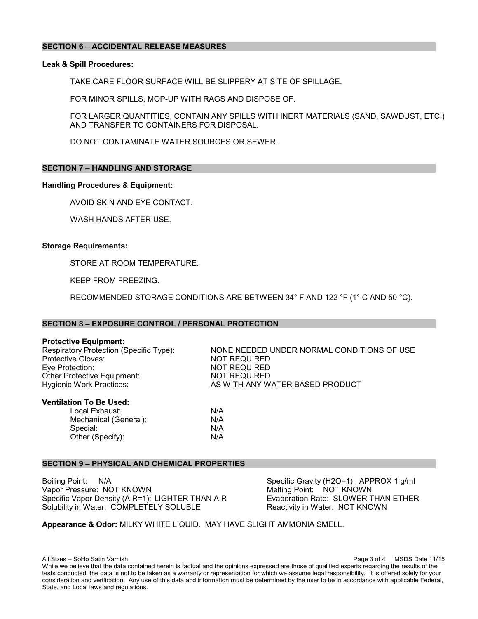# **SECTION 6 – ACCIDENTAL RELEASE MEASURES**

# **Leak & Spill Procedures:**

TAKE CARE FLOOR SURFACE WILL BE SLIPPERY AT SITE OF SPILLAGE.

FOR MINOR SPILLS, MOP-UP WITH RAGS AND DISPOSE OF.

FOR LARGER QUANTITIES, CONTAIN ANY SPILLS WITH INERT MATERIALS (SAND, SAWDUST, ETC.) AND TRANSFER TO CONTAINERS FOR DISPOSAL.

DO NOT CONTAMINATE WATER SOURCES OR SEWER.

# **SECTION 7 – HANDLING AND STORAGE**

## **Handling Procedures & Equipment:**

AVOID SKIN AND EYE CONTACT.

WASH HANDS AFTER USE.

## **Storage Requirements:**

STORE AT ROOM TEMPERATURE.

KEEP FROM FREEZING.

RECOMMENDED STORAGE CONDITIONS ARE BETWEEN 34° F AND 122 °F (1° C AND 50 °C).

## **SECTION 8 – EXPOSURE CONTROL / PERSONAL PROTECTION**

**Protective Equipment:**<br>Respiratory Protection (Specific Type): Protective Gloves:  $\overline{N}$  NOT REQUIRED<br>Eve Protection: NOT REQUIRED Other Protective Equipment:<br>Hygienic Work Practices:

NONE NEEDED UNDER NORMAL CONDITIONS OF USE NOT REQUIRED<br>NOT REQUIRED AS WITH ANY WATER BASED PRODUCT

#### **Ventilation To Be Used:**

Local Exhaust:  $N/A$ <br>Mechanical (General):  $N/A$ Mechanical (General):  $N/A$ <br>Special:  $N/A$ Special: Other (Specify): N/A

# **SECTION 9 – PHYSICAL AND CHEMICAL PROPERTIES**

Boiling Point: N/A Specific Gravity (H2O=1): APPROX 1 g/ml Vapor Pressure: NOT KNOWN<br>
Specific Vapor Density (AIR=1): LIGHTER THAN AIR 
Specific Vapor Density (AIR=1): LIGHTER THAN AIR Evaporation Rate: SLOWER THAN ETHER Specific Vapor Density (AIR=1): LIGHTER THAN AIR Solubility in Water: COMPLETELY SOLUBLE Reactivity in Water: NOT KNOWN

**Appearance & Odor:** MILKY WHITE LIQUID. MAY HAVE SLIGHT AMMONIA SMELL.

All Sizes – SoHo Satin Varnish Page 3 of 4 MSDS Date 11/15